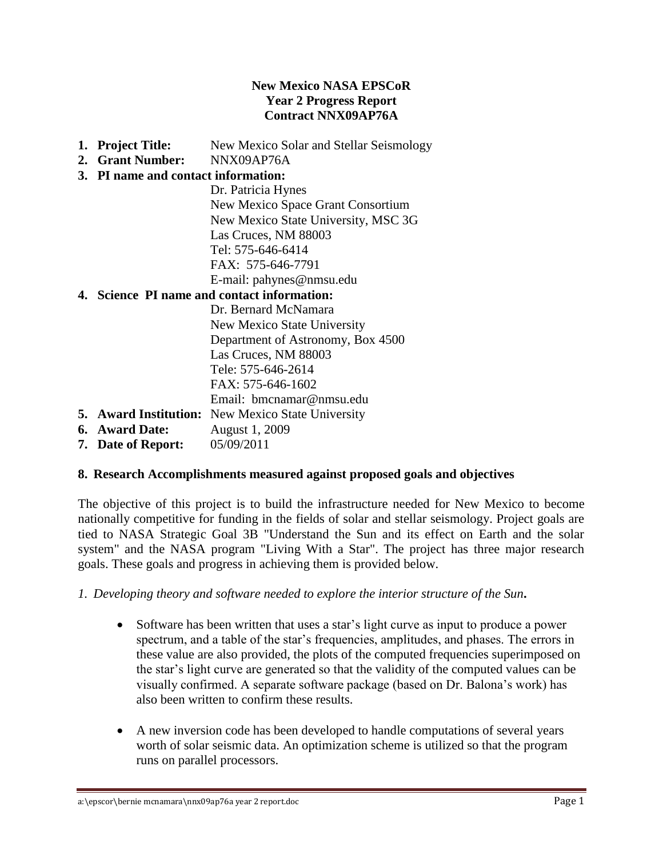#### **New Mexico NASA EPSCoR Year 2 Progress Report Contract NNX09AP76A**

- **1. Project Title:** New Mexico Solar and Stellar Seismology
- **2. Grant Number:** NNX09AP76A

#### **3. PI name and contact information:**

Dr. Patricia Hynes New Mexico Space Grant Consortium New Mexico State University, MSC 3G Las Cruces, NM 88003 Tel: 575-646-6414 FAX: 575-646-7791 E-mail: pahynes@nmsu.edu

### **4. Science PI name and contact information:**

Dr. Bernard McNamara New Mexico State University Department of Astronomy, Box 4500 Las Cruces, NM 88003 Tele: 575-646-2614  $FAX: 575-646-1602$ Email: [bmcnamar@nmsu.edu](mailto:bmcnamar@nmsu.edu)

- **5. Award Institution:** New Mexico State University
- **6. Award Date:** August 1, 2009
- **7. Date of Report:** 05/09/2011

### **8. Research Accomplishments measured against proposed goals and objectives**

The objective of this project is to build the infrastructure needed for New Mexico to become nationally competitive for funding in the fields of solar and stellar seismology. Project goals are tied to NASA Strategic Goal 3B "Understand the Sun and its effect on Earth and the solar system" and the NASA program "Living With a Star". The project has three major research goals. These goals and progress in achieving them is provided below.

*1. Developing theory and software needed to explore the interior structure of the Sun***.** 

- Software has been written that uses a star's light curve as input to produce a power spectrum, and a table of the star's frequencies, amplitudes, and phases. The errors in these value are also provided, the plots of the computed frequencies superimposed on the star's light curve are generated so that the validity of the computed values can be visually confirmed. A separate software package (based on Dr. Balona's work) has also been written to confirm these results.
- A new inversion code has been developed to handle computations of several years worth of solar seismic data. An optimization scheme is utilized so that the program runs on parallel processors.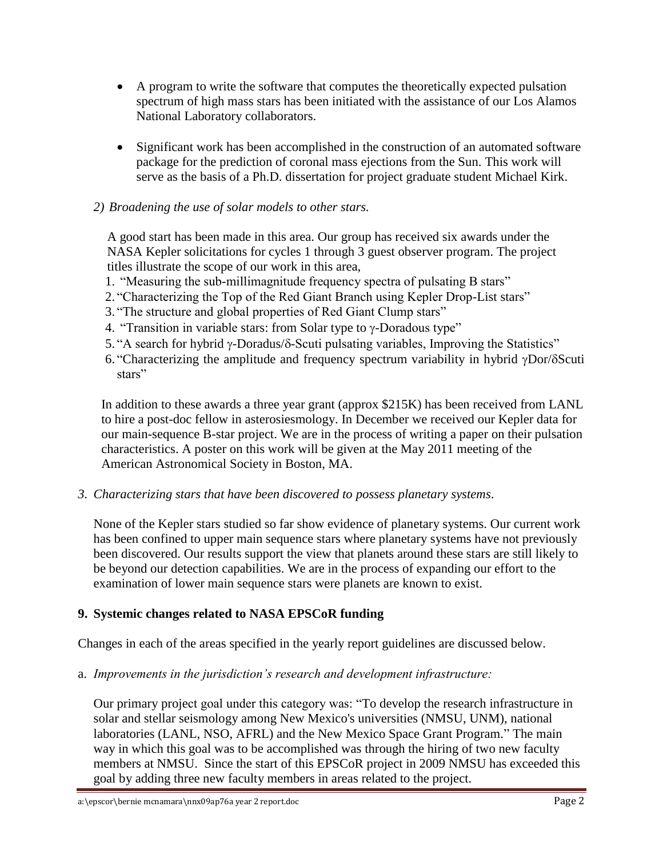- A program to write the software that computes the theoretically expected pulsation spectrum of high mass stars has been initiated with the assistance of our Los Alamos National Laboratory collaborators.
- Significant work has been accomplished in the construction of an automated software package for the prediction of coronal mass ejections from the Sun. This work will serve as the basis of a Ph.D. dissertation for project graduate student Michael Kirk.

### *2) Broadening the use of solar models to other stars.*

 A good start has been made in this area. Our group has received six awards under the NASA Kepler solicitations for cycles 1 through 3 guest observer program. The project titles illustrate the scope of our work in this area,

- 1. "Measuring the sub-millimagnitude frequency spectra of pulsating B stars"
- 2. "Characterizing the Top of the Red Giant Branch using Kepler Drop-List stars"
- 3. "The structure and global properties of Red Giant Clump stars"
- 4. "Transition in variable stars: from Solar type to  $\gamma$ -Doradous type"
- 5. "A search for hybrid  $\gamma$ -Doradus/ $\delta$ -Scuti pulsating variables, Improving the Statistics"
- 6. "Characterizing the amplitude and frequency spectrum variability in hybrid  $\gamma$ Dor/ $\delta$ Scuti stars"

In addition to these awards a three year grant (approx \$215K) has been received from LANL to hire a post-doc fellow in asterosiesmology. In December we received our Kepler data for our main-sequence B-star project. We are in the process of writing a paper on their pulsation characteristics. A poster on this work will be given at the May 2011 meeting of the American Astronomical Society in Boston, MA.

*3. Characterizing stars that have been discovered to possess planetary systems*.

None of the Kepler stars studied so far show evidence of planetary systems. Our current work has been confined to upper main sequence stars where planetary systems have not previously been discovered. Our results support the view that planets around these stars are still likely to be beyond our detection capabilities. We are in the process of expanding our effort to the examination of lower main sequence stars were planets are known to exist.

## **9. Systemic changes related to NASA EPSCoR funding**

Changes in each of the areas specified in the yearly report guidelines are discussed below.

a. *Improvements in the jurisdiction's research and development infrastructure:*

Our primary project goal under this category was: "To develop the research infrastructure in solar and stellar seismology among New Mexico's universities (NMSU, UNM), national laboratories (LANL, NSO, AFRL) and the New Mexico Space Grant Program." The main way in which this goal was to be accomplished was through the hiring of two new faculty members at NMSU. Since the start of this EPSCoR project in 2009 NMSU has exceeded this goal by adding three new faculty members in areas related to the project.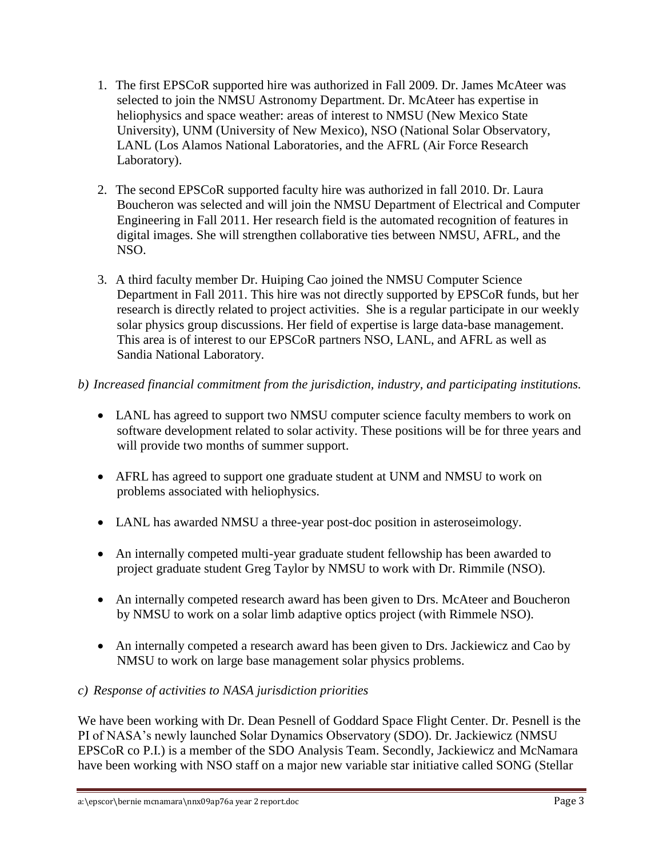- 1. The first EPSCoR supported hire was authorized in Fall 2009. Dr. James McAteer was selected to join the NMSU Astronomy Department. Dr. McAteer has expertise in heliophysics and space weather: areas of interest to NMSU (New Mexico State University), UNM (University of New Mexico), NSO (National Solar Observatory, LANL (Los Alamos National Laboratories, and the AFRL (Air Force Research Laboratory).
- 2. The second EPSCoR supported faculty hire was authorized in fall 2010. Dr. Laura Boucheron was selected and will join the NMSU Department of Electrical and Computer Engineering in Fall 2011. Her research field is the automated recognition of features in digital images. She will strengthen collaborative ties between NMSU, AFRL, and the NSO.
- 3. A third faculty member Dr. Huiping Cao joined the NMSU Computer Science Department in Fall 2011. This hire was not directly supported by EPSCoR funds, but her research is directly related to project activities. She is a regular participate in our weekly solar physics group discussions. Her field of expertise is large data-base management. This area is of interest to our EPSCoR partners NSO, LANL, and AFRL as well as Sandia National Laboratory.

# *b) Increased financial commitment from the jurisdiction, industry, and participating institutions.*

- LANL has agreed to support two NMSU computer science faculty members to work on software development related to solar activity. These positions will be for three years and will provide two months of summer support.
- AFRL has agreed to support one graduate student at UNM and NMSU to work on problems associated with heliophysics.
- LANL has awarded NMSU a three-year post-doc position in asteroseimology.
- An internally competed multi-year graduate student fellowship has been awarded to project graduate student Greg Taylor by NMSU to work with Dr. Rimmile (NSO).
- An internally competed research award has been given to Drs. McAteer and Boucheron by NMSU to work on a solar limb adaptive optics project (with Rimmele NSO).
- An internally competed a research award has been given to Drs. Jackiewicz and Cao by NMSU to work on large base management solar physics problems.

## *c) Response of activities to NASA jurisdiction priorities*

We have been working with Dr. Dean Pesnell of Goddard Space Flight Center. Dr. Pesnell is the PI of NASA's newly launched Solar Dynamics Observatory (SDO). Dr. Jackiewicz (NMSU EPSCoR co P.I.) is a member of the SDO Analysis Team. Secondly, Jackiewicz and McNamara have been working with NSO staff on a major new variable star initiative called SONG (Stellar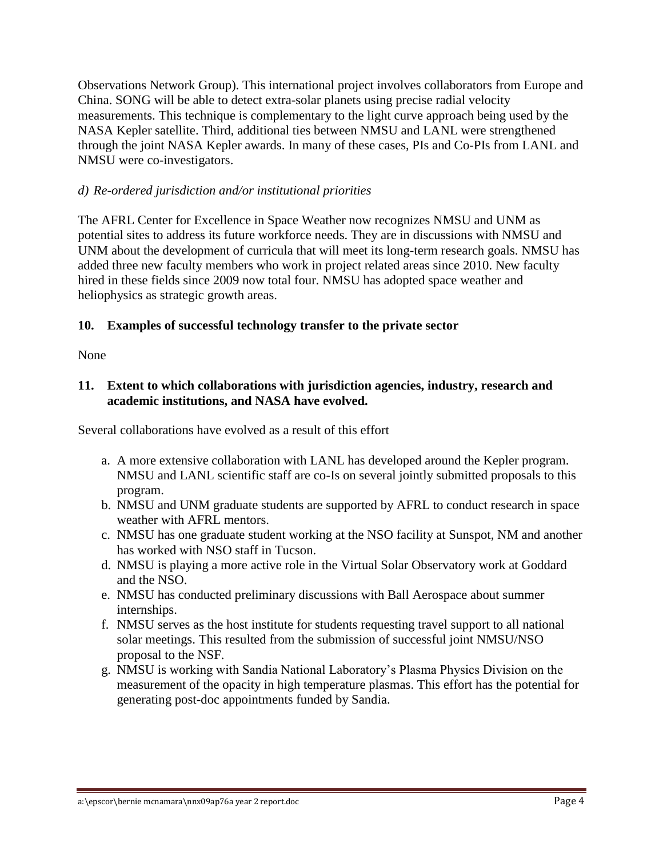Observations Network Group). This international project involves collaborators from Europe and China. SONG will be able to detect extra-solar planets using precise radial velocity measurements. This technique is complementary to the light curve approach being used by the NASA Kepler satellite. Third, additional ties between NMSU and LANL were strengthened through the joint NASA Kepler awards. In many of these cases, PIs and Co-PIs from LANL and NMSU were co-investigators.

### *d) Re-ordered jurisdiction and/or institutional priorities*

The AFRL Center for Excellence in Space Weather now recognizes NMSU and UNM as potential sites to address its future workforce needs. They are in discussions with NMSU and UNM about the development of curricula that will meet its long-term research goals. NMSU has added three new faculty members who work in project related areas since 2010. New faculty hired in these fields since 2009 now total four. NMSU has adopted space weather and heliophysics as strategic growth areas.

### **10. Examples of successful technology transfer to the private sector**

None

### **11. Extent to which collaborations with jurisdiction agencies, industry, research and academic institutions, and NASA have evolved.**

Several collaborations have evolved as a result of this effort

- a. A more extensive collaboration with LANL has developed around the Kepler program. NMSU and LANL scientific staff are co-Is on several jointly submitted proposals to this program.
- b. NMSU and UNM graduate students are supported by AFRL to conduct research in space weather with AFRL mentors.
- c. NMSU has one graduate student working at the NSO facility at Sunspot, NM and another has worked with NSO staff in Tucson.
- d. NMSU is playing a more active role in the Virtual Solar Observatory work at Goddard and the NSO.
- e. NMSU has conducted preliminary discussions with Ball Aerospace about summer internships.
- f. NMSU serves as the host institute for students requesting travel support to all national solar meetings. This resulted from the submission of successful joint NMSU/NSO proposal to the NSF.
- g. NMSU is working with Sandia National Laboratory's Plasma Physics Division on the measurement of the opacity in high temperature plasmas. This effort has the potential for generating post-doc appointments funded by Sandia.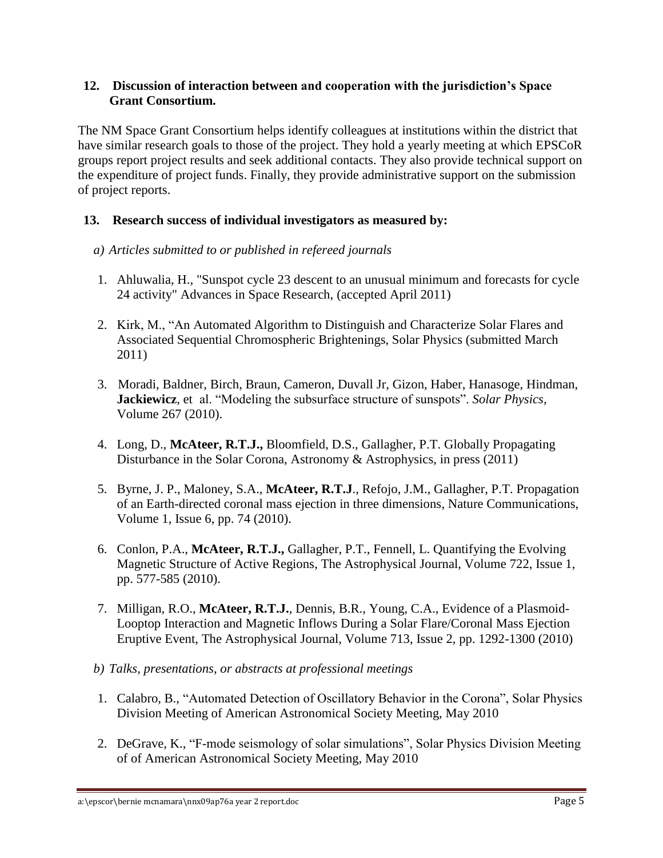### **12. Discussion of interaction between and cooperation with the jurisdiction's Space Grant Consortium.**

The NM Space Grant Consortium helps identify colleagues at institutions within the district that have similar research goals to those of the project. They hold a yearly meeting at which EPSCoR groups report project results and seek additional contacts. They also provide technical support on the expenditure of project funds. Finally, they provide administrative support on the submission of project reports.

### **13. Research success of individual investigators as measured by:**

#### *a) Articles submitted to or published in refereed journals*

- 1. Ahluwalia, H., "Sunspot cycle 23 descent to an unusual minimum and forecasts for cycle 24 activity" Advances in Space Research, (accepted April 2011)
- 2. Kirk, M., "An Automated Algorithm to Distinguish and Characterize Solar Flares and Associated Sequential Chromospheric Brightenings, Solar Physics (submitted March 2011)
- 3. Moradi, Baldner, Birch, Braun, Cameron, Duvall Jr, Gizon, Haber, Hanasoge, Hindman, **Jackiewicz**, et al. "Modeling the subsurface structure of sunspots". *Solar Physics*, Volume 267 (2010).
- 4. Long, D., **McAteer, R.T.J.,** Bloomfield, D.S., Gallagher, P.T. Globally Propagating Disturbance in the Solar Corona, Astronomy & Astrophysics, in press (2011)
- 5. Byrne, J. P., Maloney, S.A., **McAteer, R.T.J**., Refojo, J.M., Gallagher, P.T. Propagation of an Earth-directed coronal mass ejection in three dimensions, Nature Communications, Volume 1, Issue 6, pp. 74 (2010).
- 6. Conlon, P.A., **McAteer, R.T.J.,** Gallagher, P.T., Fennell, L. Quantifying the Evolving Magnetic Structure of Active Regions, The Astrophysical Journal, Volume 722, Issue 1, pp. 577-585 (2010).
- 7. Milligan, R.O., **McAteer, R.T.J.**, Dennis, B.R., Young, C.A., Evidence of a Plasmoid-Looptop Interaction and Magnetic Inflows During a Solar Flare/Coronal Mass Ejection Eruptive Event, The Astrophysical Journal, Volume 713, Issue 2, pp. 1292-1300 (2010)
- *b) Talks, presentations, or abstracts at professional meetings*
- 1. Calabro, B., "Automated Detection of Oscillatory Behavior in the Corona", Solar Physics Division Meeting of American Astronomical Society Meeting, May 2010
- 2. DeGrave, K., "F-mode seismology of solar simulations", Solar Physics Division Meeting of of American Astronomical Society Meeting, May 2010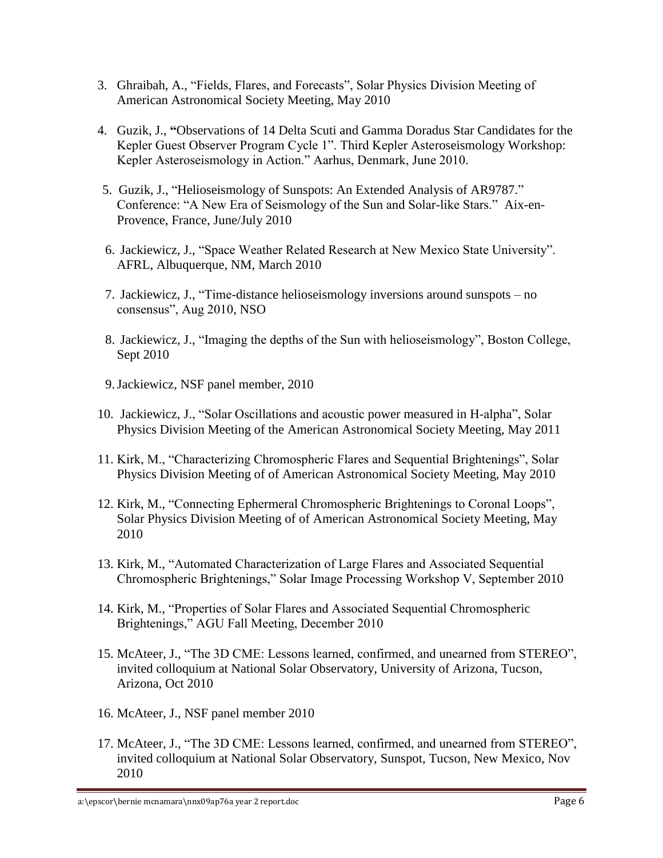- 3. Ghraibah, A., "Fields, Flares, and Forecasts", Solar Physics Division Meeting of American Astronomical Society Meeting, May 2010
- 4. Guzik, J., **"**Observations of 14 Delta Scuti and Gamma Doradus Star Candidates for the Kepler Guest Observer Program Cycle 1". Third Kepler Asteroseismology Workshop: Kepler Asteroseismology in Action." Aarhus, Denmark, June 2010.
- 5. Guzik, J., "Helioseismology of Sunspots: An Extended Analysis of AR9787." Conference: "A New Era of Seismology of the Sun and Solar-like Stars." Aix-en-Provence, France, June/July 2010
- 6. Jackiewicz, J., "Space Weather Related Research at New Mexico State University". AFRL, Albuquerque, NM, March 2010
- 7. Jackiewicz, J., "Time-distance helioseismology inversions around sunspots no consensus", Aug 2010, NSO
- 8. Jackiewicz, J., "Imaging the depths of the Sun with helioseismology", Boston College, Sept 2010
- 9.Jackiewicz, NSF panel member, 2010
- 10. Jackiewicz, J., "Solar Oscillations and acoustic power measured in H-alpha", Solar Physics Division Meeting of the American Astronomical Society Meeting, May 2011
- 11. Kirk, M., "Characterizing Chromospheric Flares and Sequential Brightenings", Solar Physics Division Meeting of of American Astronomical Society Meeting, May 2010
- 12. Kirk, M., "Connecting Ephermeral Chromospheric Brightenings to Coronal Loops", Solar Physics Division Meeting of of American Astronomical Society Meeting, May 2010
- 13. Kirk, M., "Automated Characterization of Large Flares and Associated Sequential Chromospheric Brightenings," Solar Image Processing Workshop V, September 2010
- 14. Kirk, M., "Properties of Solar Flares and Associated Sequential Chromospheric Brightenings," AGU Fall Meeting, December 2010
- 15. McAteer, J., "The 3D CME: Lessons learned, confirmed, and unearned from STEREO", invited colloquium at National Solar Observatory, University of Arizona, Tucson, Arizona, Oct 2010
- 16. McAteer, J., NSF panel member 2010
- 17. McAteer, J., "The 3D CME: Lessons learned, confirmed, and unearned from STEREO", invited colloquium at National Solar Observatory, Sunspot, Tucson, New Mexico, Nov 2010

a:\epscor\bernie mcnamara\nnx09ap76a year 2 report.doc **Page 6**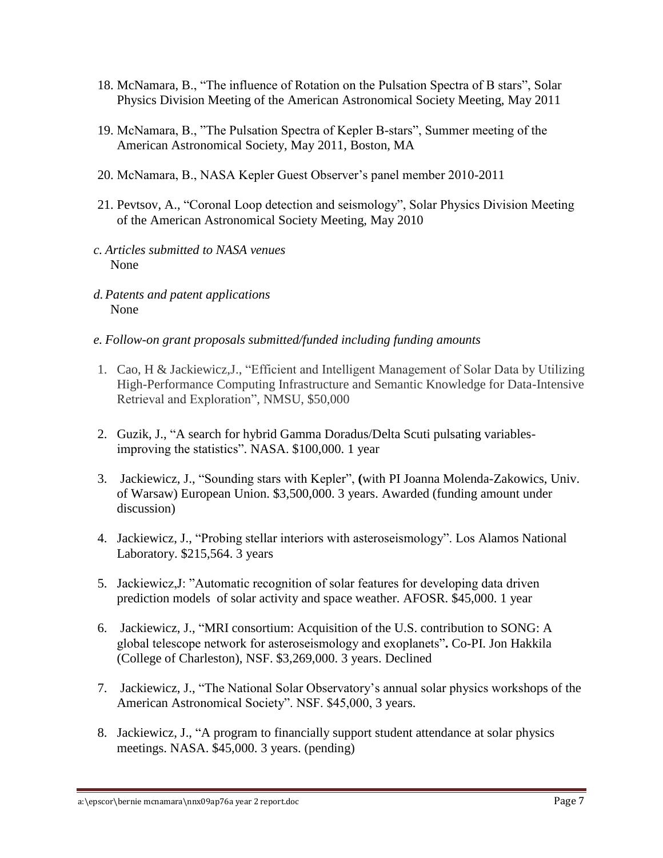- 18. McNamara, B., "The influence of Rotation on the Pulsation Spectra of B stars", Solar Physics Division Meeting of the American Astronomical Society Meeting, May 2011
- 19. McNamara, B., "The Pulsation Spectra of Kepler B-stars", Summer meeting of the American Astronomical Society, May 2011, Boston, MA
- 20. McNamara, B., NASA Kepler Guest Observer's panel member 2010-2011
- 21. Pevtsov, A., "Coronal Loop detection and seismology", Solar Physics Division Meeting of the American Astronomical Society Meeting, May 2010
- *c. Articles submitted to NASA venues* None
- *d.Patents and patent applications* None
- *e. Follow-on grant proposals submitted/funded including funding amounts*
- 1. Cao, H & Jackiewicz,J., "Efficient and Intelligent Management of Solar Data by Utilizing High-Performance Computing Infrastructure and Semantic Knowledge for Data-Intensive Retrieval and Exploration", NMSU, \$50,000
- 2. Guzik, J., "A search for hybrid Gamma Doradus/Delta Scuti pulsating variablesimproving the statistics". NASA. \$100,000. 1 year
- 3. Jackiewicz, J., "Sounding stars with Kepler", **(**with PI Joanna Molenda-Zakowics, Univ. of Warsaw) European Union. \$3,500,000. 3 years. Awarded (funding amount under discussion)
- 4. Jackiewicz, J., "Probing stellar interiors with asteroseismology". Los Alamos National Laboratory. \$215,564. 3 years
- 5. Jackiewicz,J: "Automatic recognition of solar features for developing data driven prediction models of solar activity and space weather. AFOSR. \$45,000. 1 year
- 6. Jackiewicz, J., "MRI consortium: Acquisition of the U.S. contribution to SONG: A global telescope network for asteroseismology and exoplanets"**.** Co-PI. Jon Hakkila (College of Charleston), NSF. \$3,269,000. 3 years. Declined
- 7. Jackiewicz, J., "The National Solar Observatory's annual solar physics workshops of the American Astronomical Society". NSF. \$45,000, 3 years.
- 8. Jackiewicz, J., "A program to financially support student attendance at solar physics meetings. NASA. \$45,000. 3 years. (pending)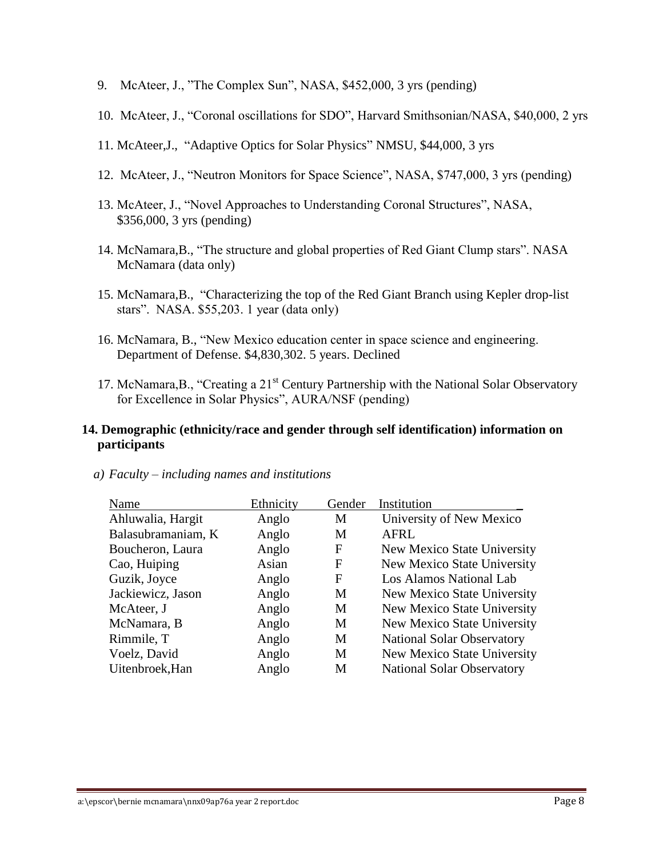- 9. McAteer, J., "The Complex Sun", NASA, \$452,000, 3 yrs (pending)
- 10. McAteer, J., "Coronal oscillations for SDO", Harvard Smithsonian/NASA, \$40,000, 2 yrs
- 11. McAteer,J., "Adaptive Optics for Solar Physics" NMSU, \$44,000, 3 yrs
- 12. McAteer, J., "Neutron Monitors for Space Science", NASA, \$747,000, 3 yrs (pending)
- 13. McAteer, J., "Novel Approaches to Understanding Coronal Structures", NASA, \$356,000, 3 yrs (pending)
- 14. McNamara,B., "The structure and global properties of Red Giant Clump stars". NASA McNamara (data only)
- 15. McNamara,B., "Characterizing the top of the Red Giant Branch using Kepler drop-list stars". NASA. \$55,203. 1 year (data only)
- 16. McNamara, B., "New Mexico education center in space science and engineering. Department of Defense. \$4,830,302. 5 years. Declined
- 17. McNamara, B., "Creating a  $21<sup>st</sup>$  Century Partnership with the National Solar Observatory for Excellence in Solar Physics", AURA/NSF (pending)

#### **14. Demographic (ethnicity/race and gender through self identification) information on participants**

| Name               | Ethnicity | Gender | Institution                       |
|--------------------|-----------|--------|-----------------------------------|
| Ahluwalia, Hargit  | Anglo     | M      | University of New Mexico          |
| Balasubramaniam, K | Anglo     | M      | <b>AFRL</b>                       |
| Boucheron, Laura   | Anglo     | F      | New Mexico State University       |
| Cao, Huiping       | Asian     | F      | New Mexico State University       |
| Guzik, Joyce       | Anglo     | F      | Los Alamos National Lab           |
| Jackiewicz, Jason  | Anglo     | M      | New Mexico State University       |
| McAteer, J         | Anglo     | M      | New Mexico State University       |
| McNamara, B        | Anglo     | M      | New Mexico State University       |
| Rimmile, T         | Anglo     | M      | <b>National Solar Observatory</b> |
| Voelz, David       | Anglo     | M      | New Mexico State University       |
| Uitenbroek, Han    | Anglo     | M      | <b>National Solar Observatory</b> |

*a) Faculty – including names and institutions*